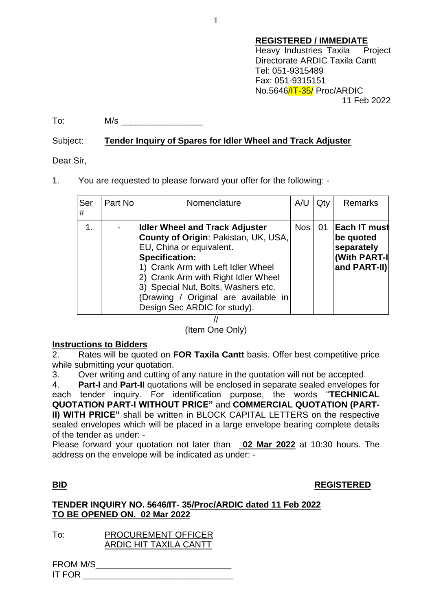To: M/s

## Subject: **Tender Inquiry of Spares for Idler Wheel and Track Adjuster**

Dear Sir,

1. You are requested to please forward your offer for the following: -

| Ser<br># | Part No | Nomenclature                                                                                                                                                                                                                                                                                                                   | A/U        | Qty | <b>Remarks</b>                                                           |
|----------|---------|--------------------------------------------------------------------------------------------------------------------------------------------------------------------------------------------------------------------------------------------------------------------------------------------------------------------------------|------------|-----|--------------------------------------------------------------------------|
| 1.       |         | <b>Idler Wheel and Track Adjuster</b><br>County of Origin: Pakistan, UK, USA,<br>EU, China or equivalent.<br><b>Specification:</b><br>1) Crank Arm with Left Idler Wheel<br>2) Crank Arm with Right Idler Wheel<br>3) Special Nut, Bolts, Washers etc.<br>(Drawing / Original are available in<br>Design Sec ARDIC for study). | <b>Nos</b> | 01  | ∣Each IT must<br>be quoted<br>separately<br>(With PART-I<br>and PART-II) |

//

(Item One Only)

# **<u>Instructions to Bidders</u>**<br>**2 Rates will be quote**

2. Rates will be quoted on **FOR Taxila Cantt** basis. Offer best competitive price while submitting your quotation.

3. Over writing and cutting of any nature in the quotation will not be accepted.

4. **Part-I** and **Part-II** quotations will be enclosed in separate sealed envelopes for each tender inquiry. For identification purpose, the words "**TECHNICAL QUOTATION PART-I WITHOUT PRICE"** and **COMMERCIAL QUOTATION (PART-II) WITH PRICE"** shall be written in BLOCK CAPITAL LETTERS on the respective sealed envelopes which will be placed in a large envelope bearing complete details of the tender as under: -

Please forward your quotation not later than **02 Mar 2022** at 10:30 hours. The address on the envelope will be indicated as under: -

### **BID REGISTERED**

# **TENDER INQUIRY NO. 5646/IT- 35/Proc/ARDIC dated 11 Feb 2022 TO BE OPENED ON. 02 Mar 2022**

To: PROCUREMENT OFFICER ARDIC HIT TAXILA CANTT

FROM M/S IT FOR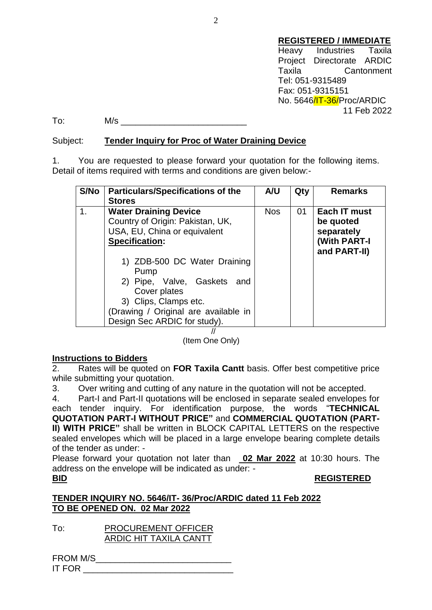#### **REGISTERED / IMMEDIATE**

Heavy Industries Taxila Project Directorate ARDIC Taxila Cantonment Tel: 051-9315489 Fax: 051-9315151 No. 5646/IT-36/Proc/ARDIC 11 Feb 2022

 $\text{To:} \qquad \qquad \mathsf{M/s}$ 

### Subject: **Tender Inquiry for Proc of Water Draining Device**

1. You are requested to please forward your quotation for the following items. Detail of items required with terms and conditions are given below:-

| <b>S/No</b> | <b>Particulars/Specifications of the</b><br><b>Stores</b>                                                                                                                                                                                                                                                         | <b>A/U</b> | Qty | <b>Remarks</b>                                                          |
|-------------|-------------------------------------------------------------------------------------------------------------------------------------------------------------------------------------------------------------------------------------------------------------------------------------------------------------------|------------|-----|-------------------------------------------------------------------------|
| 1.          | <b>Water Draining Device</b><br>Country of Origin: Pakistan, UK,<br>USA, EU, China or equivalent<br><b>Specification:</b><br>1) ZDB-500 DC Water Draining<br>Pump<br>2) Pipe, Valve, Gaskets and<br>Cover plates<br>3) Clips, Clamps etc.<br>(Drawing / Original are available in<br>Design Sec ARDIC for study). | <b>Nos</b> | 01  | Each IT must<br>be quoted<br>separately<br>(With PART-I<br>and PART-II) |

//

(Item One Only)

### **Instructions to Bidders**

2. Rates will be quoted on **FOR Taxila Cantt** basis. Offer best competitive price while submitting your quotation.

3. Over writing and cutting of any nature in the quotation will not be accepted.

4. Part-I and Part-II quotations will be enclosed in separate sealed envelopes for each tender inquiry. For identification purpose, the words "**TECHNICAL QUOTATION PART-I WITHOUT PRICE"** and **COMMERCIAL QUOTATION (PART-II) WITH PRICE"** shall be written in BLOCK CAPITAL LETTERS on the respective sealed envelopes which will be placed in a large envelope bearing complete details of the tender as under: -

Please forward your quotation not later than **02 Mar 2022** at 10:30 hours. The address on the envelope will be indicated as under: -

### **BID REGISTERED**

### **TENDER INQUIRY NO. 5646/IT- 36/Proc/ARDIC dated 11 Feb 2022 TO BE OPENED ON. 02 Mar 2022**

To: PROCUREMENT OFFICER ARDIC HIT TAXILA CANTT

FROM M/S\_\_\_\_\_\_\_\_\_\_\_\_\_\_\_\_\_\_\_\_\_\_\_\_\_\_\_\_ IT FOR  $\blacksquare$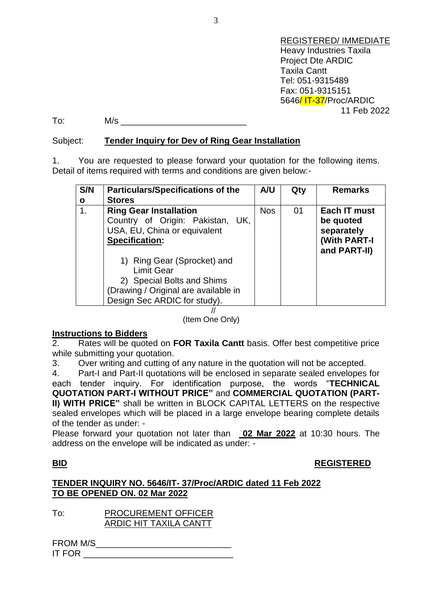REGISTERED/ IMMEDIATE Heavy Industries Taxila Project Dte ARDIC Taxila Cantt Tel: 051-9315489 Fax: 051-9315151 5646/ IT-37/Proc/ARDIC 11 Feb 2022

To: M/s \_\_\_\_\_\_\_\_\_\_\_\_\_\_\_\_\_\_\_\_\_\_\_\_\_\_

### Subject: **Tender Inquiry for Dev of Ring Gear Installation**

1. You are requested to please forward your quotation for the following items. Detail of items required with terms and conditions are given below:-

| S/N | <b>Particulars/Specifications of the</b>                         | A/U        | Qty | <b>Remarks</b>               |
|-----|------------------------------------------------------------------|------------|-----|------------------------------|
| O   | <b>Stores</b>                                                    |            |     |                              |
| 1.  | <b>Ring Gear Installation</b>                                    | <b>Nos</b> | 01  | Each IT must                 |
|     | Country of Origin: Pakistan, UK,<br>USA, EU, China or equivalent |            |     | be quoted<br>separately      |
|     | <b>Specification:</b>                                            |            |     | (With PART-I<br>and PART-II) |
|     | 1) Ring Gear (Sprocket) and<br><b>Limit Gear</b>                 |            |     |                              |
|     | 2) Special Bolts and Shims                                       |            |     |                              |
|     | (Drawing / Original are available in                             |            |     |                              |
|     | Design Sec ARDIC for study).                                     |            |     |                              |

//

(Item One Only)

### **Instructions to Bidders**

2. Rates will be quoted on **FOR Taxila Cantt** basis. Offer best competitive price while submitting your quotation.

3. Over writing and cutting of any nature in the quotation will not be accepted.

4. Part-I and Part-II quotations will be enclosed in separate sealed envelopes for each tender inquiry. For identification purpose, the words "**TECHNICAL QUOTATION PART-I WITHOUT PRICE"** and **COMMERCIAL QUOTATION (PART-II) WITH PRICE"** shall be written in BLOCK CAPITAL LETTERS on the respective sealed envelopes which will be placed in a large envelope bearing complete details of the tender as under: -

Please forward your quotation not later than **02 Mar 2022** at 10:30 hours. The address on the envelope will be indicated as under: -

### **BID REGISTERED**

### **TENDER INQUIRY NO. 5646/IT- 37/Proc/ARDIC dated 11 Feb 2022 TO BE OPENED ON. 02 Mar 2022**

To: PROCUREMENT OFFICER ARDIC HIT TAXILA CANTT

| <b>FROM M/S</b> |  |  |
|-----------------|--|--|
| <b>IT FOR</b>   |  |  |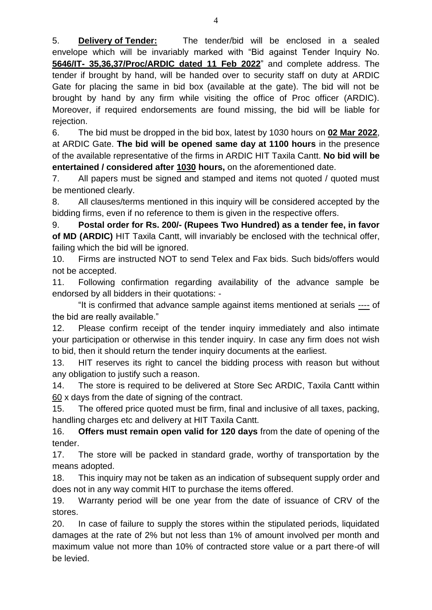5. **Delivery of Tender:** The tender/bid will be enclosed in a sealed envelope which will be invariably marked with "Bid against Tender Inquiry No. **5646/IT- 35,36,37/Proc/ARDIC dated 11 Feb 2022**" and complete address. The tender if brought by hand, will be handed over to security staff on duty at ARDIC Gate for placing the same in bid box (available at the gate). The bid will not be brought by hand by any firm while visiting the office of Proc officer (ARDIC). Moreover, if required endorsements are found missing, the bid will be liable for rejection.

6. The bid must be dropped in the bid box, latest by 1030 hours on **02 Mar 2022**, at ARDIC Gate. **The bid will be opened same day at 1100 hours** in the presence of the available representative of the firms in ARDIC HIT Taxila Cantt. **No bid will be entertained / considered after 1030 hours,** on the aforementioned date.

7. All papers must be signed and stamped and items not quoted / quoted must be mentioned clearly.

8. All clauses/terms mentioned in this inquiry will be considered accepted by the bidding firms, even if no reference to them is given in the respective offers.

9. **Postal order for Rs. 200/- (Rupees Two Hundred) as a tender fee, in favor of MD (ARDIC)** HIT Taxila Cantt, will invariably be enclosed with the technical offer, failing which the bid will be ignored.

10. Firms are instructed NOT to send Telex and Fax bids. Such bids/offers would not be accepted.

11. Following confirmation regarding availability of the advance sample be endorsed by all bidders in their quotations: -

"It is confirmed that advance sample against items mentioned at serials ---- of the bid are really available."

12. Please confirm receipt of the tender inquiry immediately and also intimate your participation or otherwise in this tender inquiry. In case any firm does not wish to bid, then it should return the tender inquiry documents at the earliest.

13. HIT reserves its right to cancel the bidding process with reason but without any obligation to justify such a reason.

14. The store is required to be delivered at Store Sec ARDIC, Taxila Cantt within 60 x days from the date of signing of the contract.

15. The offered price quoted must be firm, final and inclusive of all taxes, packing, handling charges etc and delivery at HIT Taxila Cantt.

16. **Offers must remain open valid for 120 days** from the date of opening of the tender.

17. The store will be packed in standard grade, worthy of transportation by the means adopted.

18. This inquiry may not be taken as an indication of subsequent supply order and does not in any way commit HIT to purchase the items offered.

19. Warranty period will be one year from the date of issuance of CRV of the stores.

20. In case of failure to supply the stores within the stipulated periods, liquidated damages at the rate of 2% but not less than 1% of amount involved per month and maximum value not more than 10% of contracted store value or a part there-of will be levied.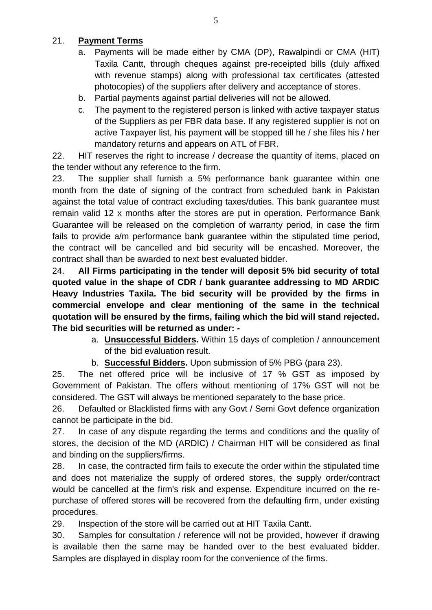# 21. **Payment Terms**

- a. Payments will be made either by CMA (DP), Rawalpindi or CMA (HIT) Taxila Cantt, through cheques against pre-receipted bills (duly affixed with revenue stamps) along with professional tax certificates (attested photocopies) of the suppliers after delivery and acceptance of stores.
- b. Partial payments against partial deliveries will not be allowed.
- c. The payment to the registered person is linked with active taxpayer status of the Suppliers as per FBR data base. If any registered supplier is not on active Taxpayer list, his payment will be stopped till he / she files his / her mandatory returns and appears on ATL of FBR.

22. HIT reserves the right to increase / decrease the quantity of items, placed on the tender without any reference to the firm.

23. The supplier shall furnish a 5% performance bank guarantee within one month from the date of signing of the contract from scheduled bank in Pakistan against the total value of contract excluding taxes/duties. This bank guarantee must remain valid 12 x months after the stores are put in operation. Performance Bank Guarantee will be released on the completion of warranty period, in case the firm fails to provide a/m performance bank guarantee within the stipulated time period, the contract will be cancelled and bid security will be encashed. Moreover, the contract shall than be awarded to next best evaluated bidder.

24. **All Firms participating in the tender will deposit 5% bid security of total quoted value in the shape of CDR / bank guarantee addressing to MD ARDIC Heavy Industries Taxila. The bid security will be provided by the firms in commercial envelope and clear mentioning of the same in the technical quotation will be ensured by the firms, failing which the bid will stand rejected. The bid securities will be returned as under: -**

- a. **Unsuccessful Bidders.** Within 15 days of completion / announcement of the bid evaluation result.
- b. **Successful Bidders.** Upon submission of 5% PBG (para 23).

25. The net offered price will be inclusive of 17 % GST as imposed by Government of Pakistan. The offers without mentioning of 17% GST will not be considered. The GST will always be mentioned separately to the base price.

26. Defaulted or Blacklisted firms with any Govt / Semi Govt defence organization cannot be participate in the bid.

27. In case of any dispute regarding the terms and conditions and the quality of stores, the decision of the MD (ARDIC) / Chairman HIT will be considered as final and binding on the suppliers/firms.

28. In case, the contracted firm fails to execute the order within the stipulated time and does not materialize the supply of ordered stores, the supply order/contract would be cancelled at the firm's risk and expense. Expenditure incurred on the repurchase of offered stores will be recovered from the defaulting firm, under existing procedures.

29. Inspection of the store will be carried out at HIT Taxila Cantt.

30. Samples for consultation / reference will not be provided, however if drawing is available then the same may be handed over to the best evaluated bidder. Samples are displayed in display room for the convenience of the firms.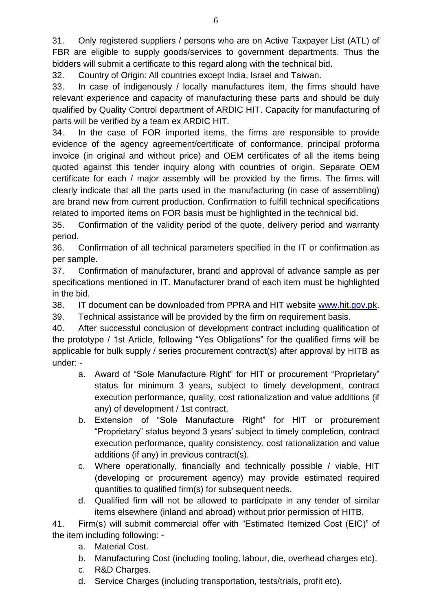31. Only registered suppliers / persons who are on Active Taxpayer List (ATL) of FBR are eligible to supply goods/services to government departments. Thus the bidders will submit a certificate to this regard along with the technical bid.

32. Country of Origin: All countries except India, Israel and Taiwan.

33. In case of indigenously / locally manufactures item, the firms should have relevant experience and capacity of manufacturing these parts and should be duly qualified by Quality Control department of ARDIC HIT. Capacity for manufacturing of parts will be verified by a team ex ARDIC HIT.

34. In the case of FOR imported items, the firms are responsible to provide evidence of the agency agreement/certificate of conformance, principal proforma invoice (in original and without price) and OEM certificates of all the items being quoted against this tender inquiry along with countries of origin. Separate OEM certificate for each / major assembly will be provided by the firms. The firms will clearly indicate that all the parts used in the manufacturing (in case of assembling) are brand new from current production. Confirmation to fulfill technical specifications related to imported items on FOR basis must be highlighted in the technical bid.

35. Confirmation of the validity period of the quote, delivery period and warranty period.

36. Confirmation of all technical parameters specified in the IT or confirmation as per sample.

37. Confirmation of manufacturer, brand and approval of advance sample as per specifications mentioned in IT. Manufacturer brand of each item must be highlighted in the bid.

38. IT document can be downloaded from PPRA and HIT website [www.hit.gov.pk.](http://www.hit.gov.pk/)

39. Technical assistance will be provided by the firm on requirement basis.

40. After successful conclusion of development contract including qualification of the prototype / 1st Article, following "Yes Obligations" for the qualified firms will be applicable for bulk supply / series procurement contract(s) after approval by HITB as under: -

- a. Award of "Sole Manufacture Right" for HIT or procurement "Proprietary" status for minimum 3 years, subject to timely development, contract execution performance, quality, cost rationalization and value additions (if any) of development / 1st contract.
- b. Extension of "Sole Manufacture Right" for HIT or procurement "Proprietary" status beyond 3 years' subject to timely completion, contract execution performance, quality consistency, cost rationalization and value additions (if any) in previous contract(s).
- c. Where operationally, financially and technically possible / viable, HIT (developing or procurement agency) may provide estimated required quantities to qualified firm(s) for subsequent needs.
- d. Qualified firm will not be allowed to participate in any tender of similar items elsewhere (inland and abroad) without prior permission of HITB.

41. Firm(s) will submit commercial offer with "Estimated Itemized Cost (EIC)" of the item including following: -

- a. Material Cost.
- b. Manufacturing Cost (including tooling, labour, die, overhead charges etc).
- c. R&D Charges.
- d. Service Charges (including transportation, tests/trials, profit etc).